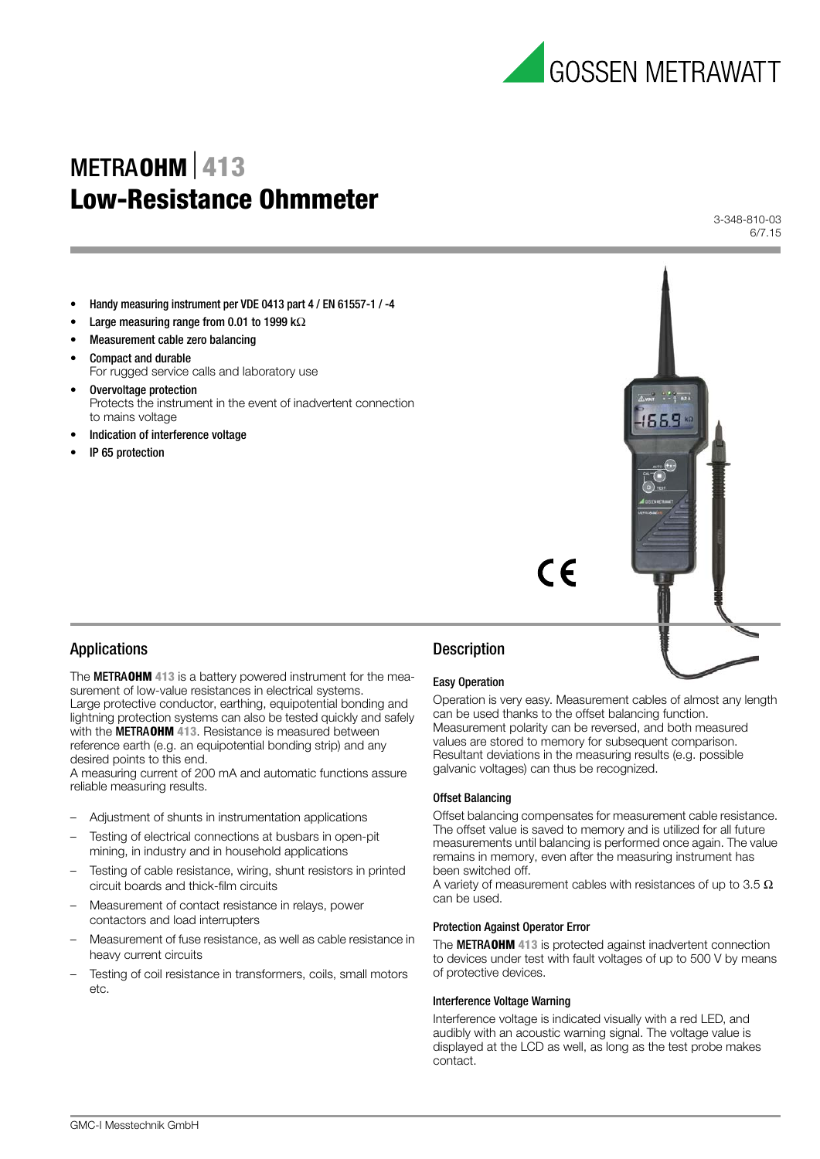

# METRA**OHM**⏐**413 Low-Resistance Ohmmeter**

3-348-810-03 6/7.15

- Handy measuring instrument per VDE 0413 part 4 / EN 61557-1 / -4
- Large measuring range from 0.01 to 1999 k $\Omega$
- Measurement cable zero balancing
- Compact and durable For rugged service calls and laboratory use
- Overvoltage protection Protects the instrument in the event of inadvertent connection to mains voltage
- Indication of interference voltage
- IP 65 protection



## Applications

The METRA**OHM 413** is a battery powered instrument for the measurement of low-value resistances in electrical systems. Large protective conductor, earthing, equipotential bonding and lightning protection systems can also be tested quickly and safely with the METRA**OHM 413**. Resistance is measured between reference earth (e.g. an equipotential bonding strip) and any desired points to this end.

A measuring current of 200 mA and automatic functions assure reliable measuring results.

- Adjustment of shunts in instrumentation applications
- Testing of electrical connections at busbars in open-pit mining, in industry and in household applications
- Testing of cable resistance, wiring, shunt resistors in printed circuit boards and thick-film circuits
- Measurement of contact resistance in relays, power contactors and load interrupters
- Measurement of fuse resistance, as well as cable resistance in heavy current circuits
- Testing of coil resistance in transformers, coils, small motors etc.

# **Description**

#### Easy Operation

Operation is very easy. Measurement cables of almost any length can be used thanks to the offset balancing function. Measurement polarity can be reversed, and both measured values are stored to memory for subsequent comparison. Resultant deviations in the measuring results (e.g. possible galvanic voltages) can thus be recognized.

#### Offset Balancing

Offset balancing compensates for measurement cable resistance. The offset value is saved to memory and is utilized for all future measurements until balancing is performed once again. The value remains in memory, even after the measuring instrument has been switched off.

A variety of measurement cables with resistances of up to 3.5  $\Omega$ can be used.

#### Protection Against Operator Error

The METRA**OHM 413** is protected against inadvertent connection to devices under test with fault voltages of up to 500 V by means of protective devices.

#### Interference Voltage Warning

Interference voltage is indicated visually with a red LED, and audibly with an acoustic warning signal. The voltage value is displayed at the LCD as well, as long as the test probe makes contact.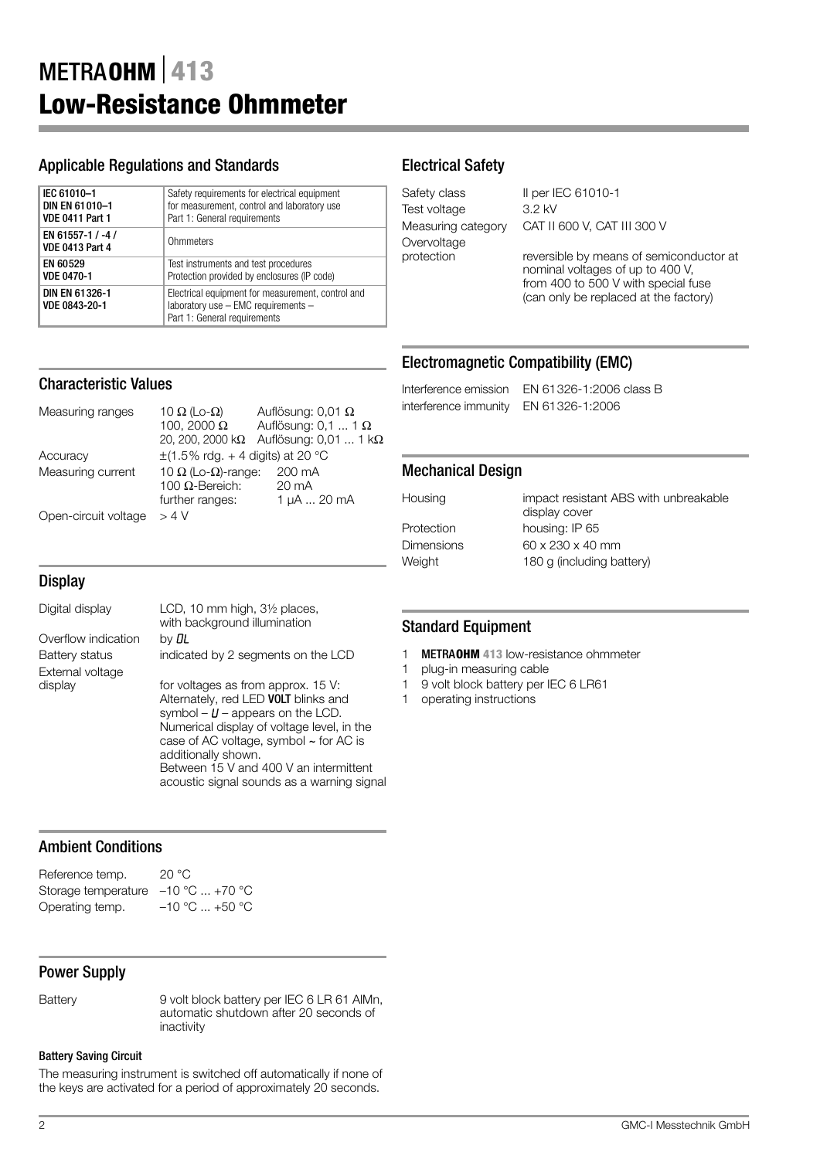## Applicable Regulations and Standards

| IEC 61010-1                                 | Safety requirements for electrical equipment                                                                             |
|---------------------------------------------|--------------------------------------------------------------------------------------------------------------------------|
| DIN EN 61010-1                              | for measurement, control and laboratory use                                                                              |
| <b>VDE 0411 Part 1</b>                      | Part 1: General requirements                                                                                             |
| EN 61557-1 / -4 /<br><b>VDE 0413 Part 4</b> | Ohmmeters                                                                                                                |
| EN 60529                                    | Test instruments and test procedures                                                                                     |
| <b>VDE 0470-1</b>                           | Protection provided by enclosures (IP code)                                                                              |
| DIN EN 61326-1<br>VDE 0843-20-1             | Electrical equipment for measurement, control and<br>laboratory use - EMC requirements -<br>Part 1: General requirements |

Measuring ranges  $10 Ω$  (Lo- $Ω$ ) Auflösung: 0,01  $Ω$ <br> $100, 2000 Ω$  Auflösung: 0,1 ... 1

further ranges:

Accuracy  $\pm (1.5\% \text{ rdg.} + 4 \text{ digits}) \text{ at } 20 \degree \text{C}$ Measuring current 10  $\Omega$  (Lo- $\Omega$ )-range: 200 mA

 $A$ uflösung: 0,1 ... 1 Ω

20, 200, 2000 kΩ Auflösung: 0,01 ... 1 kΩ

100  $\Omega$ -Bereich: 20 mA<br>further ranges: 1 μA ... 20 mA

# Electrical Safety

| Safety class     |  |
|------------------|--|
| Test voltage     |  |
| Measuring catego |  |
| Overvoltage      |  |
| protection       |  |

II per IEC 61010-1  $3.2$  kV My CAT II 600 V, CAT III 300 V

> reversible by means of semiconductor at nominal voltages of up to 400 V, from 400 to 500 V with special fuse (can only be replaced at the factory)

## Electromagnetic Compatibility (EMC)

Interference emission EN 61326-1:2006 class B interference immunity EN 61326-1:2006

## Mechanical Design

Housing impact resistant ABS with unbreakable display cover Protection housing: IP 65 Dimensions 60 x 230 x 40 mm Weight 180 g (including battery)

# **Display**

Characteristic Values

Open-circuit voltage  $> 4$  V

| Digital display     | LCD, 10 mm high, 3½ places,<br>with background illumination                                                                                                                                                                                                                                                                         |
|---------------------|-------------------------------------------------------------------------------------------------------------------------------------------------------------------------------------------------------------------------------------------------------------------------------------------------------------------------------------|
| Overflow indication | by <b>DL</b>                                                                                                                                                                                                                                                                                                                        |
| Battery status      | indicated by 2 segments on the LCD                                                                                                                                                                                                                                                                                                  |
| External voltage    |                                                                                                                                                                                                                                                                                                                                     |
| display             | for voltages as from approx. 15 V:<br>Alternately, red LED <b>VOLT</b> blinks and<br>symbol $- U$ – appears on the LCD.<br>Numerical display of voltage level, in the<br>case of AC voltage, symbol $\sim$ for AC is<br>additionally shown.<br>Between 15 V and 400 V an intermittent<br>acoustic signal sounds as a warning signal |

# Ambient Conditions

| Reference temp.                    | 20 °C            |
|------------------------------------|------------------|
| Storage temperature -10 °C  +70 °C |                  |
| Operating temp.                    | $-10$ °C  +50 °C |

# Power Supply

Battery 9 volt block battery per IEC 6 LR 61 AlMn, automatic shutdown after 20 seconds of inactivity

#### Battery Saving Circuit

The measuring instrument is switched off automatically if none of the keys are activated for a period of approximately 20 seconds.

## Standard Equipment

- 1 METRA**OHM 413** low-resistance ohmmeter
- 1 plug-in measuring cable
- 1 9 volt block battery per IEC 6 LR61
- 1 operating instructions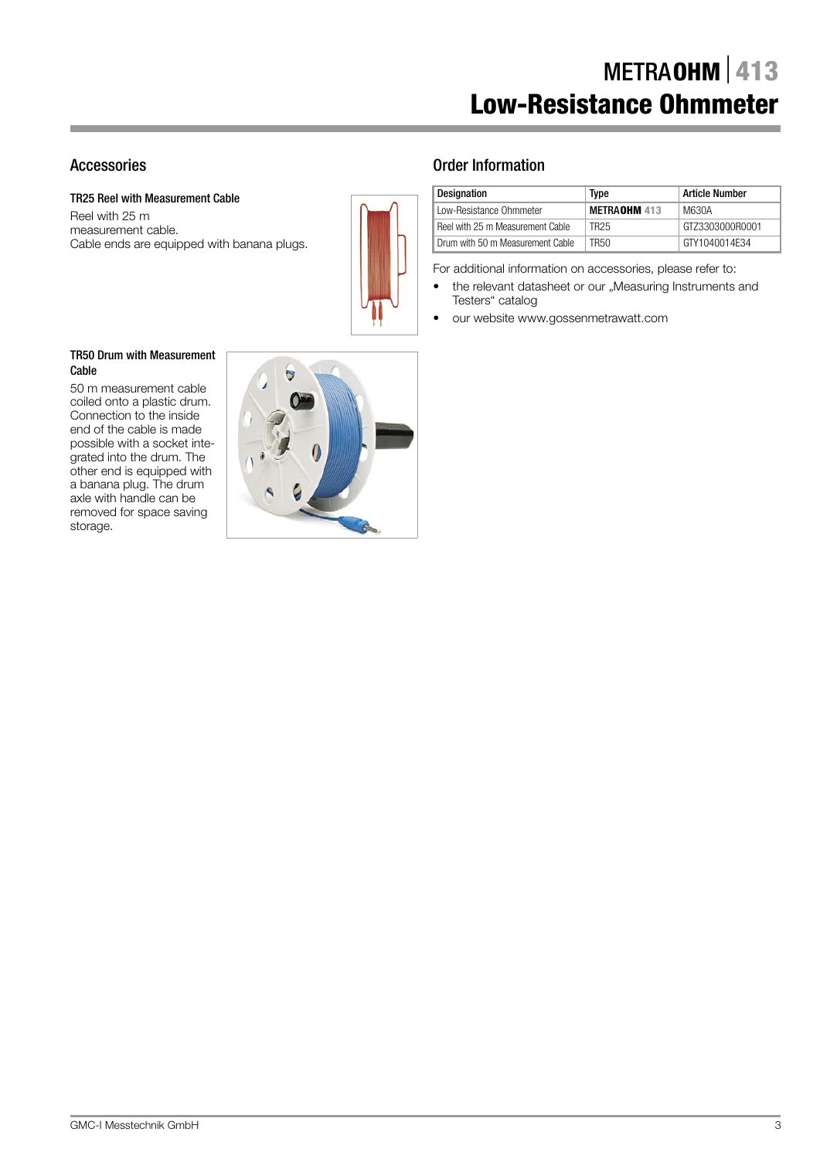# Accessories

TR25 Reel with Measurement Cable

Reel with 25 m measurement cable. Cable ends are equipped with banana plugs.



# Order Information

| <b>Designation</b>               | Type         | <b>Article Number</b> |
|----------------------------------|--------------|-----------------------|
| Low-Resistance Ohmmeter          | METRAOHM 413 | M630A                 |
| Reel with 25 m Measurement Cable | TR25         | GTZ3303000R0001       |
| Drum with 50 m Measurement Cable | TR50         | GTY1040014F34         |

For additional information on accessories, please refer to:

- the relevant datasheet or our "Measuring Instruments and Testers" catalog
- our website www.gossenmetrawatt.com

### TR50 Drum with Measurement Cable

50 m measurement cable coiled onto a plastic drum. Connection to the inside end of the cable is made possible with a socket integrated into the drum. The other end is equipped with a banana plug. The drum axle with handle can be removed for space saving storage.